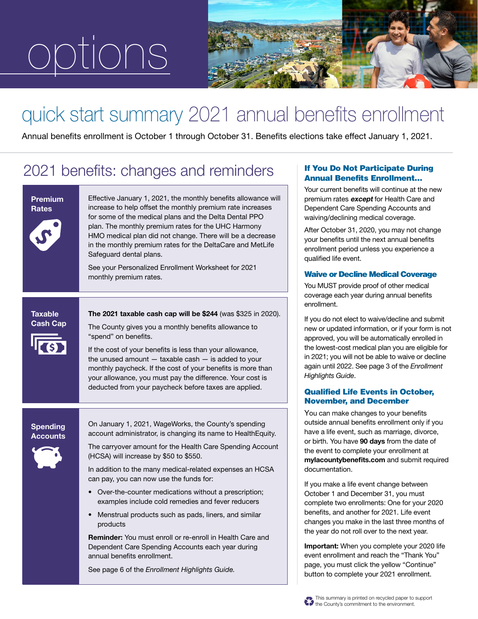# options



### quick start summary 2021 annual benefits enrollment

Annual benefits enrollment is October 1 through October 31. Benefits elections take effect January 1, 2021.

### 2021 benefits: changes and reminders

### Effective January 1, 2021, the monthly benefits allowance will increase to help offset the monthly premium rate increases for some of the medical plans and the Delta Dental PPO plan. The monthly premium rates for the UHC Harmony HMO medical plan did not change. There will be a decrease in the monthly premium rates for the DeltaCare and MetLife Safeguard dental plans. See your Personalized Enrollment Worksheet for 2021 monthly premium rates. Premium **Rates** The 2021 taxable cash cap will be \$244 (was \$325 in 2020). The County gives you a monthly benefits allowance to Spending **Taxable** Cash Cap

"spend" on benefits.

If the cost of your benefits is less than your allowance, the unused amount  $-$  taxable cash  $-$  is added to your monthly paycheck. If the cost of your benefits is more than your allowance, you must pay the difference. Your cost is deducted from your paycheck before taxes are applied.

Accounts



On January 1, 2021, WageWorks, the County's spending account administrator, is changing its name to HealthEquity.

The carryover amount for the Health Care Spending Account (HCSA) will increase by \$50 to \$550.

In addition to the many medical-related expenses an HCSA can pay, you can now use the funds for:

- Over-the-counter medications without a prescription; examples include cold remedies and fever reducers
- Menstrual products such as pads, liners, and similar products

Reminder: You must enroll or re-enroll in Health Care and Dependent Care Spending Accounts each year during annual benefits enrollment.

See page 6 of the *Enrollment Highlights Guide.*

### If You Do Not Participate During Annual Benefits Enrollment…

Your current benefits will continue at the new premium rates except for Health Care and Dependent Care Spending Accounts and waiving/declining medical coverage.

After October 31, 2020, you may not change your benefits until the next annual benefits enrollment period unless you experience a qualified life event.

### Waive or Decline Medical Coverage

You MUST provide proof of other medical coverage each year during annual benefits enrollment.

If you do not elect to waive/decline and submit new or updated information, or if your form is not approved, you will be automatically enrolled in the lowest-cost medical plan you are eligible for in 2021; you will not be able to waive or decline again until 2022. See page 3 of the *Enrollment Highlights Guide*.

### Qualified Life Events in October, November, and December

You can make changes to your benefits outside annual benefits enrollment only if you have a life event, such as marriage, divorce, or birth. You have 90 days from the date of the event to complete your enrollment at mylacountybenefits.com and submit required documentation.

If you make a life event change between October 1 and December 31, you must complete two enrollments: One for your 2020 benefits, and another for 2021. Life event changes you make in the last three months of the year do not roll over to the next year.

Important: When you complete your 2020 life event enrollment and reach the "Thank You" page, you must click the yellow "Continue" button to complete your 2021 enrollment.